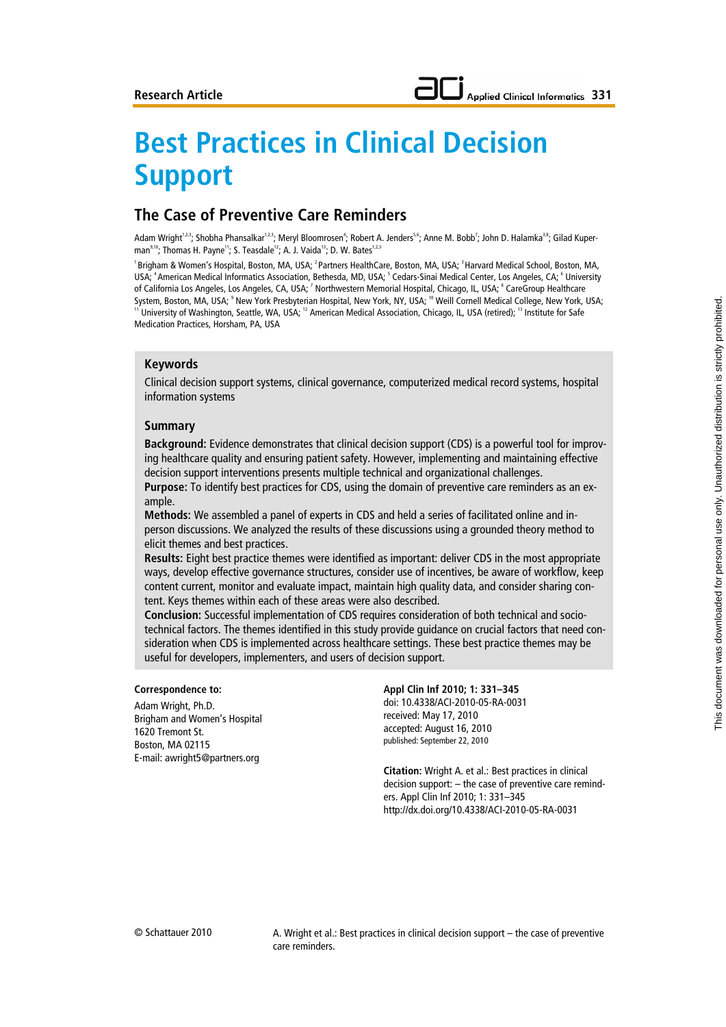# **Best Practices in Clinical Decision Support**

# **The Case of Preventive Care Reminders**

Adam Wright<sup>1,2,3</sup>; Shobha Phansalkar<sup>1,2,3</sup>; Meryl Bloomrosen<sup>4</sup>; Robert A. Jenders<sup>5,6</sup>; Anne M. Bobb<sup>7</sup>; John D. Halamka<sup>3,8</sup>; Gilad Kuperman<sup>9,10</sup>; Thomas H. Payne<sup>11</sup>; S. Teasdale<sup>12</sup>; A. J. Vaida<sup>13</sup>; D. W. Bates<sup>1,2,3</sup>

<sup>1</sup> Brigham & Women's Hospital, Boston, MA, USA; <sup>2</sup> Partners HealthCare, Boston, MA, USA; <sup>3</sup> Harvard Medical School, Boston, MA, USA; <sup>4</sup> American Medical Informatics Association, Bethesda, MD, USA; <sup>5</sup> Cedars-Sinai Medical Center, Los Angeles, CA; <sup>6</sup> University of California Los Angeles, Los Angeles, CA, USA; <sup>7</sup> Northwestern Memorial Hospital, Chicago, IL, USA; <sup>8</sup> CareGroup Healthcare System, Boston, MA, USA; <sup>9</sup> New York Presbyterian Hospital, New York, NY, USA; <sup>10</sup> Weill Cornell Medical College, New York, USA; <sup>11</sup> University of Washington, Seattle, WA, USA; <sup>12</sup> American Medical Association, Chicago, IL, USA (retired); <sup>13</sup> Institute for Safe Medication Practices, Horsham, PA, USA

## **Keywords**

Clinical decision support systems, clinical governance, computerized medical record systems, hospital information systems

#### **Summary**

**Background:** Evidence demonstrates that clinical decision support (CDS) is a powerful tool for improving healthcare quality and ensuring patient safety. However, implementing and maintaining effective decision support interventions presents multiple technical and organizational challenges.

**Purpose:** To identify best practices for CDS, using the domain of preventive care reminders as an example.

**Methods:** We assembled a panel of experts in CDS and held a series of facilitated online and inperson discussions. We analyzed the results of these discussions using a grounded theory method to elicit themes and best practices.

**Results:** Eight best practice themes were identified as important: deliver CDS in the most appropriate ways, develop effective governance structures, consider use of incentives, be aware of workflow, keep content current, monitor and evaluate impact, maintain high quality data, and consider sharing content. Keys themes within each of these areas were also described.

**Conclusion:** Successful implementation of CDS requires consideration of both technical and sociotechnical factors. The themes identified in this study provide guidance on crucial factors that need consideration when CDS is implemented across healthcare settings. These best practice themes may be useful for developers, implementers, and users of decision support.

#### **Correspondence to:**

Adam Wright, Ph.D. Brigham and Women's Hospital 1620 Tremont St. Boston, MA 02115 E-mail: awright5@partners.org

#### **Appl Clin Inf 2010; 1: 331–345** doi: 10.4338/ACI-2010-05-RA-0031 received: May 17, 2010 accepted: August 16, 2010

published: September 22, 2010

**Citation:** Wright A. et al.: Best practices in clinical decision support: – the case of preventive care reminders. Appl Clin Inf 2010; 1: 331–345 http://dx.doi.org/10.4338/ACI-2010-05-RA-0031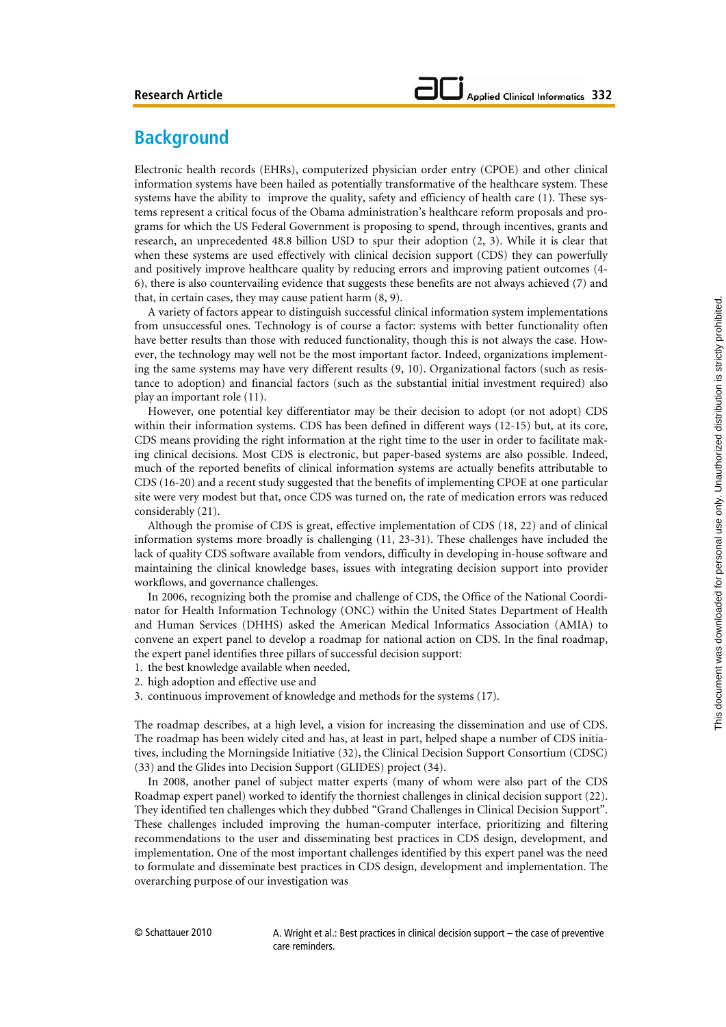# **Background**

Electronic health records (EHRs), computerized physician order entry (CPOE) and other clinical information systems have been hailed as potentially transformative of the healthcare system. These systems have the ability to improve the quality, safety and efficiency of health care (1). These systems represent a critical focus of the Obama administration's healthcare reform proposals and programs for which the US Federal Government is proposing to spend, through incentives, grants and research, an unprecedented 48.8 billion USD to spur their adoption (2, 3). While it is clear that when these systems are used effectively with clinical decision support (CDS) they can powerfully and positively improve healthcare quality by reducing errors and improving patient outcomes (4- 6), there is also countervailing evidence that suggests these benefits are not always achieved (7) and that, in certain cases, they may cause patient harm (8, 9).

A variety of factors appear to distinguish successful clinical information system implementations from unsuccessful ones. Technology is of course a factor: systems with better functionality often have better results than those with reduced functionality, though this is not always the case. However, the technology may well not be the most important factor. Indeed, organizations implementing the same systems may have very different results (9, 10). Organizational factors (such as resistance to adoption) and financial factors (such as the substantial initial investment required) also play an important role (11).

However, one potential key differentiator may be their decision to adopt (or not adopt) CDS within their information systems. CDS has been defined in different ways (12-15) but, at its core, CDS means providing the right information at the right time to the user in order to facilitate making clinical decisions. Most CDS is electronic, but paper-based systems are also possible. Indeed, much of the reported benefits of clinical information systems are actually benefits attributable to CDS (16-20) and a recent study suggested that the benefits of implementing CPOE at one particular site were very modest but that, once CDS was turned on, the rate of medication errors was reduced considerably (21).

Although the promise of CDS is great, effective implementation of CDS (18, 22) and of clinical information systems more broadly is challenging (11, 23-31). These challenges have included the lack of quality CDS software available from vendors, difficulty in developing in-house software and maintaining the clinical knowledge bases, issues with integrating decision support into provider workflows, and governance challenges.

In 2006, recognizing both the promise and challenge of CDS, the Office of the National Coordinator for Health Information Technology (ONC) within the United States Department of Health and Human Services (DHHS) asked the American Medical Informatics Association (AMIA) to convene an expert panel to develop a roadmap for national action on CDS. In the final roadmap, the expert panel identifies three pillars of successful decision support:

- 1. the best knowledge available when needed,
- 2. high adoption and effective use and
- 3. continuous improvement of knowledge and methods for the systems (17).

The roadmap describes, at a high level, a vision for increasing the dissemination and use of CDS. The roadmap has been widely cited and has, at least in part, helped shape a number of CDS initiatives, including the Morningside Initiative (32), the Clinical Decision Support Consortium (CDSC) (33) and the Glides into Decision Support (GLIDES) project (34).

In 2008, another panel of subject matter experts (many of whom were also part of the CDS Roadmap expert panel) worked to identify the thorniest challenges in clinical decision support (22). They identified ten challenges which they dubbed "Grand Challenges in Clinical Decision Support". These challenges included improving the human-computer interface, prioritizing and filtering recommendations to the user and disseminating best practices in CDS design, development, and implementation. One of the most important challenges identified by this expert panel was the need to formulate and disseminate best practices in CDS design, development and implementation. The overarching purpose of our investigation was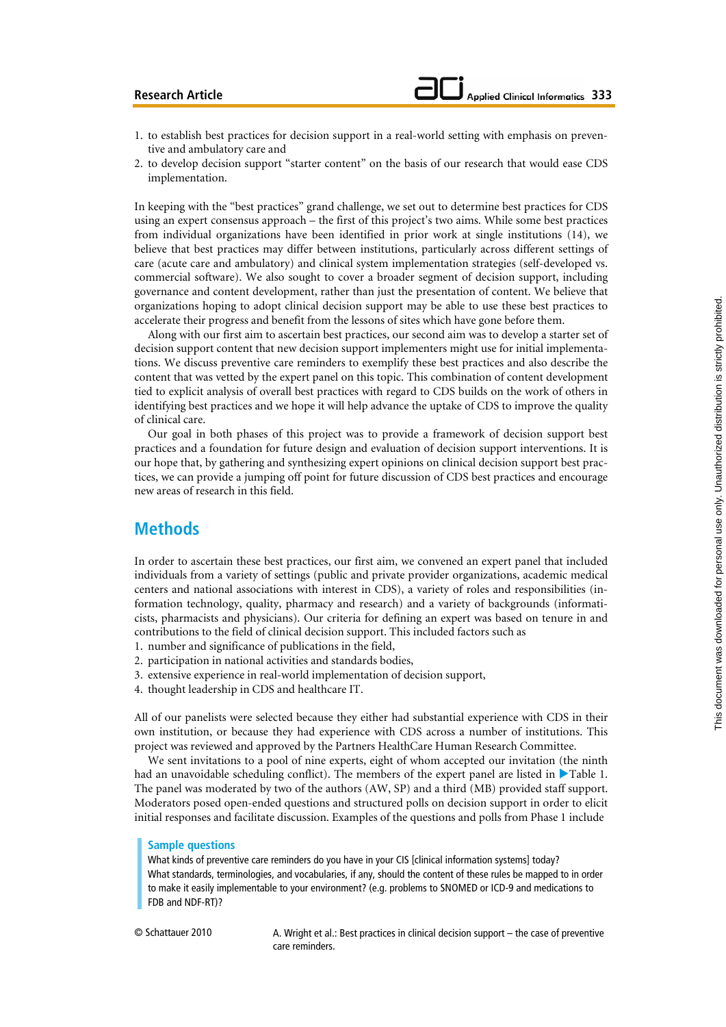- 1. to establish best practices for decision support in a real-world setting with emphasis on preventive and ambulatory care and
- 2. to develop decision support "starter content" on the basis of our research that would ease CDS implementation.

In keeping with the "best practices" grand challenge, we set out to determine best practices for CDS using an expert consensus approach – the first of this project's two aims. While some best practices from individual organizations have been identified in prior work at single institutions (14), we believe that best practices may differ between institutions, particularly across different settings of care (acute care and ambulatory) and clinical system implementation strategies (self-developed vs. commercial software). We also sought to cover a broader segment of decision support, including governance and content development, rather than just the presentation of content. We believe that organizations hoping to adopt clinical decision support may be able to use these best practices to accelerate their progress and benefit from the lessons of sites which have gone before them.

Along with our first aim to ascertain best practices, our second aim was to develop a starter set of decision support content that new decision support implementers might use for initial implementations. We discuss preventive care reminders to exemplify these best practices and also describe the content that was vetted by the expert panel on this topic. This combination of content development tied to explicit analysis of overall best practices with regard to CDS builds on the work of others in identifying best practices and we hope it will help advance the uptake of CDS to improve the quality of clinical care.

Our goal in both phases of this project was to provide a framework of decision support best practices and a foundation for future design and evaluation of decision support interventions. It is our hope that, by gathering and synthesizing expert opinions on clinical decision support best practices, we can provide a jumping off point for future discussion of CDS best practices and encourage new areas of research in this field.

# **Methods**

In order to ascertain these best practices, our first aim, we convened an expert panel that included individuals from a variety of settings (public and private provider organizations, academic medical centers and national associations with interest in CDS), a variety of roles and responsibilities (information technology, quality, pharmacy and research) and a variety of backgrounds (informaticists, pharmacists and physicians). Our criteria for defining an expert was based on tenure in and contributions to the field of clinical decision support. This included factors such as

- 1. number and significance of publications in the field,
- 2. participation in national activities and standards bodies,
- 3. extensive experience in real-world implementation of decision support,
- 4. thought leadership in CDS and healthcare IT.

All of our panelists were selected because they either had substantial experience with CDS in their own institution, or because they had experience with CDS across a number of institutions. This project was reviewed and approved by the Partners HealthCare Human Research Committee.

We sent invitations to a pool of nine experts, eight of whom accepted our invitation (the ninth had an unavoidable scheduling conflict). The members of the expert panel are listed in  $\blacktriangleright$  Table 1. The panel was moderated by two of the authors (AW, SP) and a third (MB) provided staff support. Moderators posed open-ended questions and structured polls on decision support in order to elicit initial responses and facilitate discussion. Examples of the questions and polls from Phase 1 include

#### **Sample questions**

What kinds of preventive care reminders do you have in your CIS [clinical information systems] today? What standards, terminologies, and vocabularies, if any, should the content of these rules be mapped to in order to make it easily implementable to your environment? (e.g. problems to SNOMED or ICD-9 and medications to FDB and NDF-RT)?

© Schattauer 2010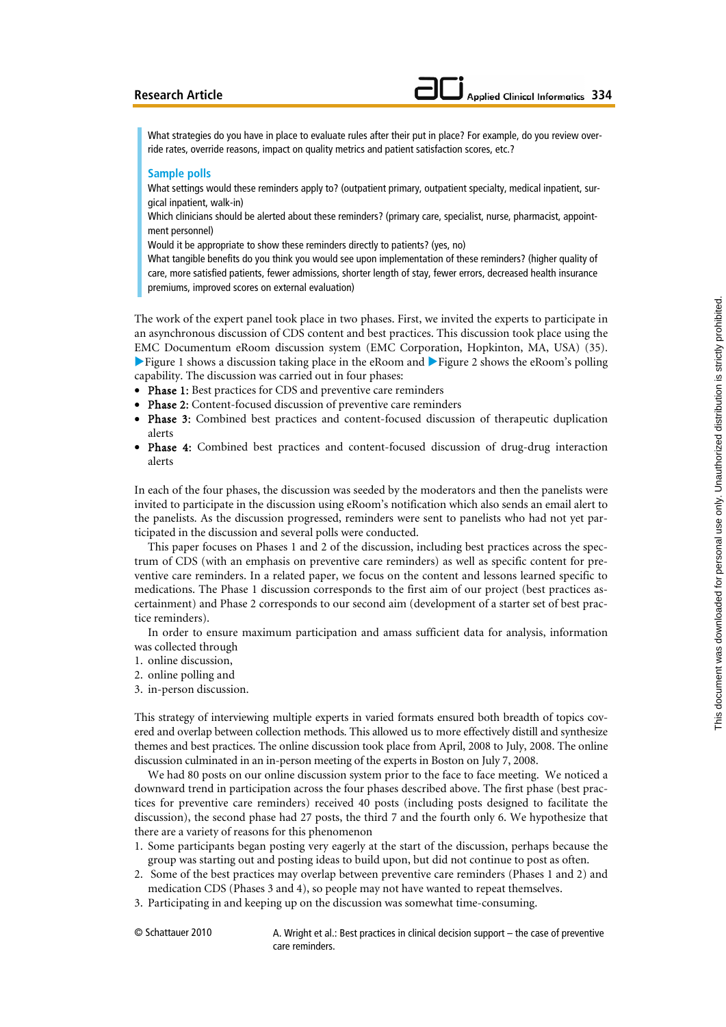What strategies do you have in place to evaluate rules after their put in place? For example, do you review override rates, override reasons, impact on quality metrics and patient satisfaction scores, etc.?

#### **Sample polls**

What settings would these reminders apply to? (outpatient primary, outpatient specialty, medical inpatient, surgical inpatient, walk-in)

Which clinicians should be alerted about these reminders? (primary care, specialist, nurse, pharmacist, appointment personnel)

Would it be appropriate to show these reminders directly to patients? (yes, no)

What tangible benefits do you think you would see upon implementation of these reminders? (higher quality of care, more satisfied patients, fewer admissions, shorter length of stay, fewer errors, decreased health insurance premiums, improved scores on external evaluation)

The work of the expert panel took place in two phases. First, we invited the experts to participate in an asynchronous discussion of CDS content and best practices. This discussion took place using the EMC Documentum eRoom discussion system (EMC Corporation, Hopkinton, MA, USA) (35). Figure 1 shows a discussion taking place in the eRoom and  $\blacktriangleright$  Figure 2 shows the eRoom's polling capability. The discussion was carried out in four phases:

- Phase 1: Best practices for CDS and preventive care reminders
- Phase 2: Content-focused discussion of preventive care reminders
- Phase 3: Combined best practices and content-focused discussion of therapeutic duplication alerts
- Phase 4: Combined best practices and content-focused discussion of drug-drug interaction alerts

In each of the four phases, the discussion was seeded by the moderators and then the panelists were invited to participate in the discussion using eRoom's notification which also sends an email alert to the panelists. As the discussion progressed, reminders were sent to panelists who had not yet participated in the discussion and several polls were conducted.

This paper focuses on Phases 1 and 2 of the discussion, including best practices across the spectrum of CDS (with an emphasis on preventive care reminders) as well as specific content for preventive care reminders. In a related paper, we focus on the content and lessons learned specific to medications. The Phase 1 discussion corresponds to the first aim of our project (best practices ascertainment) and Phase 2 corresponds to our second aim (development of a starter set of best practice reminders).

In order to ensure maximum participation and amass sufficient data for analysis, information was collected through

- 1. online discussion,
- 2. online polling and
- 3. in-person discussion.

This strategy of interviewing multiple experts in varied formats ensured both breadth of topics covered and overlap between collection methods. This allowed us to more effectively distill and synthesize themes and best practices. The online discussion took place from April, 2008 to July, 2008. The online discussion culminated in an in-person meeting of the experts in Boston on July 7, 2008.

We had 80 posts on our online discussion system prior to the face to face meeting. We noticed a downward trend in participation across the four phases described above. The first phase (best practices for preventive care reminders) received 40 posts (including posts designed to facilitate the discussion), the second phase had 27 posts, the third 7 and the fourth only 6. We hypothesize that there are a variety of reasons for this phenomenon

- 1. Some participants began posting very eagerly at the start of the discussion, perhaps because the group was starting out and posting ideas to build upon, but did not continue to post as often.
- 2. Some of the best practices may overlap between preventive care reminders (Phases 1 and 2) and medication CDS (Phases 3 and 4), so people may not have wanted to repeat themselves.
- 3. Participating in and keeping up on the discussion was somewhat time-consuming.

© Schattauer 2010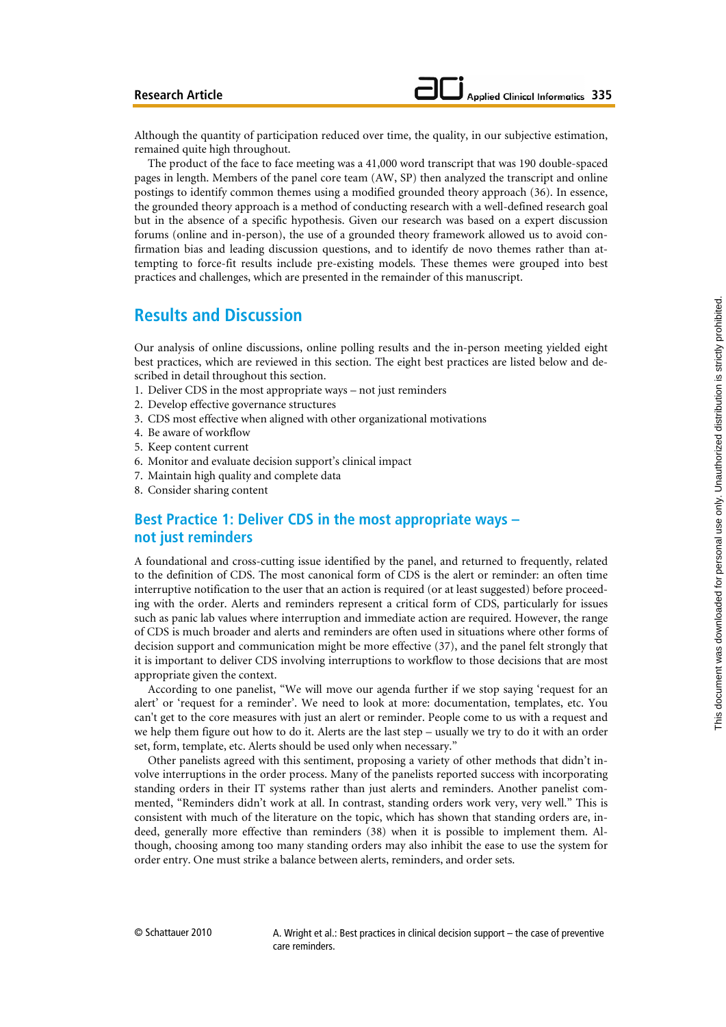Although the quantity of participation reduced over time, the quality, in our subjective estimation, remained quite high throughout.

The product of the face to face meeting was a 41,000 word transcript that was 190 double-spaced pages in length. Members of the panel core team (AW, SP) then analyzed the transcript and online postings to identify common themes using a modified grounded theory approach (36). In essence, the grounded theory approach is a method of conducting research with a well-defined research goal but in the absence of a specific hypothesis. Given our research was based on a expert discussion forums (online and in-person), the use of a grounded theory framework allowed us to avoid confirmation bias and leading discussion questions, and to identify de novo themes rather than attempting to force-fit results include pre-existing models. These themes were grouped into best practices and challenges, which are presented in the remainder of this manuscript.

# **Results and Discussion**

Our analysis of online discussions, online polling results and the in-person meeting yielded eight best practices, which are reviewed in this section. The eight best practices are listed below and described in detail throughout this section.

- 1. Deliver CDS in the most appropriate ways not just reminders
- 2. Develop effective governance structures
- 3. CDS most effective when aligned with other organizational motivations
- 4. Be aware of workflow
- 5. Keep content current
- 6. Monitor and evaluate decision support's clinical impact
- 7. Maintain high quality and complete data
- 8. Consider sharing content

# **Best Practice 1: Deliver CDS in the most appropriate ways – not just reminders**

A foundational and cross-cutting issue identified by the panel, and returned to frequently, related to the definition of CDS. The most canonical form of CDS is the alert or reminder: an often time interruptive notification to the user that an action is required (or at least suggested) before proceeding with the order. Alerts and reminders represent a critical form of CDS, particularly for issues such as panic lab values where interruption and immediate action are required. However, the range of CDS is much broader and alerts and reminders are often used in situations where other forms of decision support and communication might be more effective (37), and the panel felt strongly that it is important to deliver CDS involving interruptions to workflow to those decisions that are most appropriate given the context.

According to one panelist, "We will move our agenda further if we stop saying 'request for an alert' or 'request for a reminder'. We need to look at more: documentation, templates, etc. You can't get to the core measures with just an alert or reminder. People come to us with a request and we help them figure out how to do it. Alerts are the last step – usually we try to do it with an order set, form, template, etc. Alerts should be used only when necessary."

Other panelists agreed with this sentiment, proposing a variety of other methods that didn't involve interruptions in the order process. Many of the panelists reported success with incorporating standing orders in their IT systems rather than just alerts and reminders. Another panelist commented, "Reminders didn't work at all. In contrast, standing orders work very, very well." This is consistent with much of the literature on the topic, which has shown that standing orders are, indeed, generally more effective than reminders (38) when it is possible to implement them. Although, choosing among too many standing orders may also inhibit the ease to use the system for order entry. One must strike a balance between alerts, reminders, and order sets.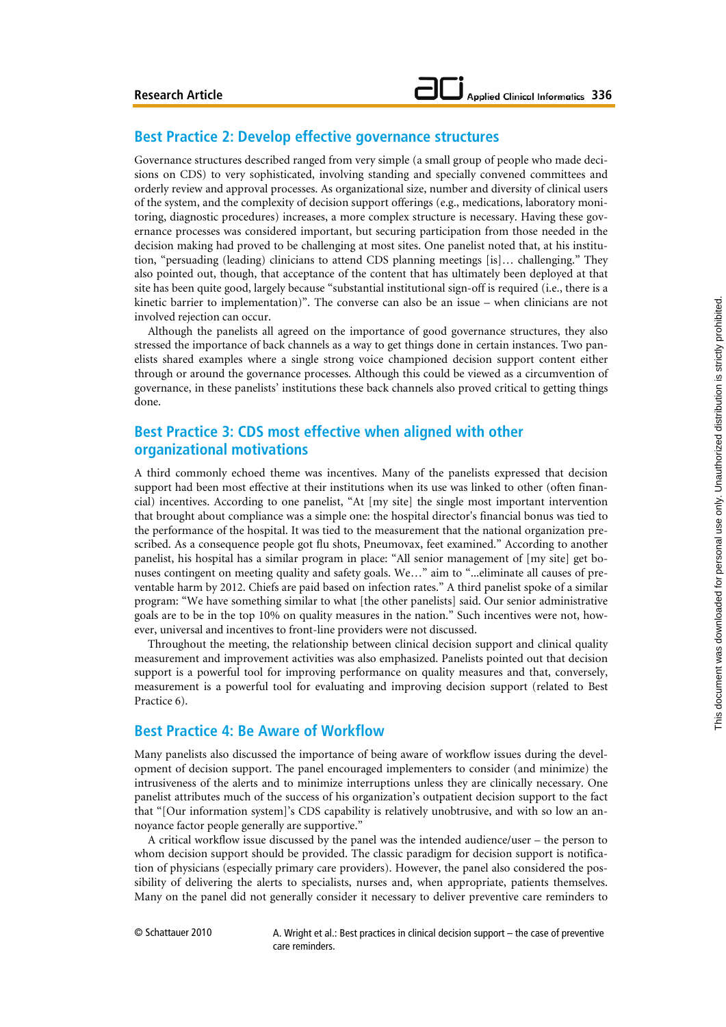## **Best Practice 2: Develop effective governance structures**

Governance structures described ranged from very simple (a small group of people who made decisions on CDS) to very sophisticated, involving standing and specially convened committees and orderly review and approval processes. As organizational size, number and diversity of clinical users of the system, and the complexity of decision support offerings (e.g., medications, laboratory monitoring, diagnostic procedures) increases, a more complex structure is necessary. Having these governance processes was considered important, but securing participation from those needed in the decision making had proved to be challenging at most sites. One panelist noted that, at his institution, "persuading (leading) clinicians to attend CDS planning meetings [is]… challenging." They also pointed out, though, that acceptance of the content that has ultimately been deployed at that site has been quite good, largely because "substantial institutional sign-off is required (i.e., there is a kinetic barrier to implementation)". The converse can also be an issue – when clinicians are not involved rejection can occur.

Although the panelists all agreed on the importance of good governance structures, they also stressed the importance of back channels as a way to get things done in certain instances. Two panelists shared examples where a single strong voice championed decision support content either through or around the governance processes. Although this could be viewed as a circumvention of governance, in these panelists' institutions these back channels also proved critical to getting things done.

# **Best Practice 3: CDS most effective when aligned with other organizational motivations**

A third commonly echoed theme was incentives. Many of the panelists expressed that decision support had been most effective at their institutions when its use was linked to other (often financial) incentives. According to one panelist, "At [my site] the single most important intervention that brought about compliance was a simple one: the hospital director's financial bonus was tied to the performance of the hospital. It was tied to the measurement that the national organization prescribed. As a consequence people got flu shots, Pneumovax, feet examined." According to another panelist, his hospital has a similar program in place: "All senior management of [my site] get bonuses contingent on meeting quality and safety goals. We…" aim to "...eliminate all causes of preventable harm by 2012. Chiefs are paid based on infection rates." A third panelist spoke of a similar program: "We have something similar to what [the other panelists] said. Our senior administrative goals are to be in the top 10% on quality measures in the nation." Such incentives were not, however, universal and incentives to front-line providers were not discussed.

Throughout the meeting, the relationship between clinical decision support and clinical quality measurement and improvement activities was also emphasized. Panelists pointed out that decision support is a powerful tool for improving performance on quality measures and that, conversely, measurement is a powerful tool for evaluating and improving decision support (related to Best Practice 6).

## **Best Practice 4: Be Aware of Workflow**

Many panelists also discussed the importance of being aware of workflow issues during the development of decision support. The panel encouraged implementers to consider (and minimize) the intrusiveness of the alerts and to minimize interruptions unless they are clinically necessary. One panelist attributes much of the success of his organization's outpatient decision support to the fact that "[Our information system]'s CDS capability is relatively unobtrusive, and with so low an annoyance factor people generally are supportive."

A critical workflow issue discussed by the panel was the intended audience/user – the person to whom decision support should be provided. The classic paradigm for decision support is notification of physicians (especially primary care providers). However, the panel also considered the possibility of delivering the alerts to specialists, nurses and, when appropriate, patients themselves. Many on the panel did not generally consider it necessary to deliver preventive care reminders to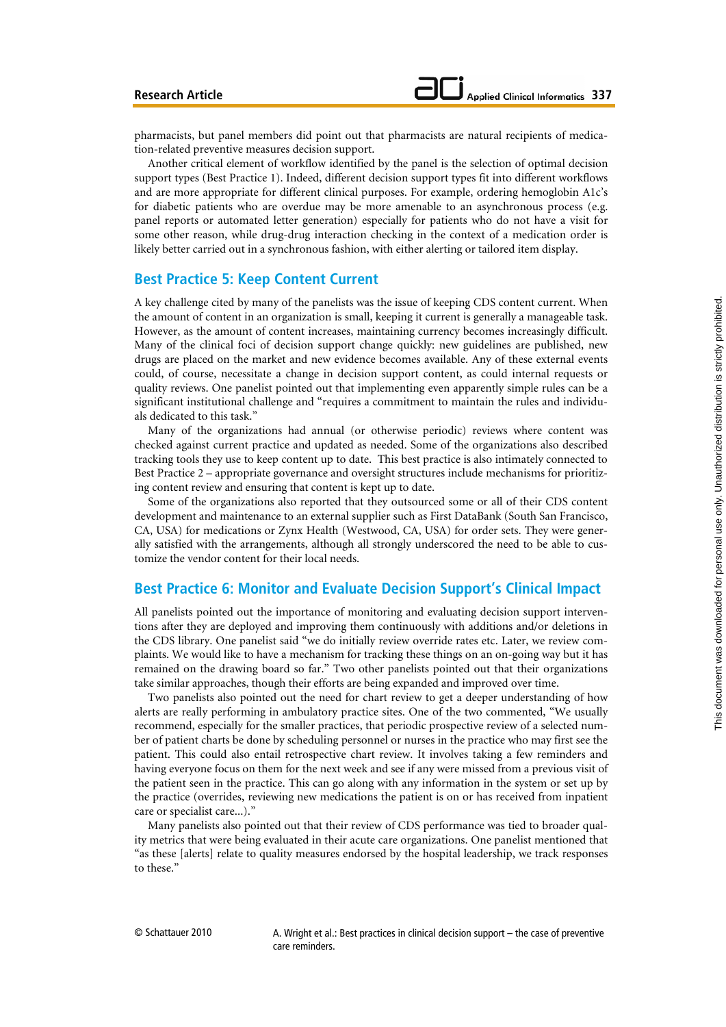pharmacists, but panel members did point out that pharmacists are natural recipients of medication-related preventive measures decision support.

Another critical element of workflow identified by the panel is the selection of optimal decision support types (Best Practice 1). Indeed, different decision support types fit into different workflows and are more appropriate for different clinical purposes. For example, ordering hemoglobin A1c's for diabetic patients who are overdue may be more amenable to an asynchronous process (e.g. panel reports or automated letter generation) especially for patients who do not have a visit for some other reason, while drug-drug interaction checking in the context of a medication order is likely better carried out in a synchronous fashion, with either alerting or tailored item display.

## **Best Practice 5: Keep Content Current**

A key challenge cited by many of the panelists was the issue of keeping CDS content current. When the amount of content in an organization is small, keeping it current is generally a manageable task. However, as the amount of content increases, maintaining currency becomes increasingly difficult. Many of the clinical foci of decision support change quickly: new guidelines are published, new drugs are placed on the market and new evidence becomes available. Any of these external events could, of course, necessitate a change in decision support content, as could internal requests or quality reviews. One panelist pointed out that implementing even apparently simple rules can be a significant institutional challenge and "requires a commitment to maintain the rules and individuals dedicated to this task."

Many of the organizations had annual (or otherwise periodic) reviews where content was checked against current practice and updated as needed. Some of the organizations also described tracking tools they use to keep content up to date. This best practice is also intimately connected to Best Practice 2 – appropriate governance and oversight structures include mechanisms for prioritizing content review and ensuring that content is kept up to date.

Some of the organizations also reported that they outsourced some or all of their CDS content development and maintenance to an external supplier such as First DataBank (South San Francisco, CA, USA) for medications or Zynx Health (Westwood, CA, USA) for order sets. They were generally satisfied with the arrangements, although all strongly underscored the need to be able to customize the vendor content for their local needs.

## **Best Practice 6: Monitor and Evaluate Decision Support's Clinical Impact**

All panelists pointed out the importance of monitoring and evaluating decision support interventions after they are deployed and improving them continuously with additions and/or deletions in the CDS library. One panelist said "we do initially review override rates etc. Later, we review complaints. We would like to have a mechanism for tracking these things on an on-going way but it has remained on the drawing board so far." Two other panelists pointed out that their organizations take similar approaches, though their efforts are being expanded and improved over time.

Two panelists also pointed out the need for chart review to get a deeper understanding of how alerts are really performing in ambulatory practice sites. One of the two commented, "We usually recommend, especially for the smaller practices, that periodic prospective review of a selected number of patient charts be done by scheduling personnel or nurses in the practice who may first see the patient. This could also entail retrospective chart review. It involves taking a few reminders and having everyone focus on them for the next week and see if any were missed from a previous visit of the patient seen in the practice. This can go along with any information in the system or set up by the practice (overrides, reviewing new medications the patient is on or has received from inpatient care or specialist care...)."

Many panelists also pointed out that their review of CDS performance was tied to broader quality metrics that were being evaluated in their acute care organizations. One panelist mentioned that "as these [alerts] relate to quality measures endorsed by the hospital leadership, we track responses to these."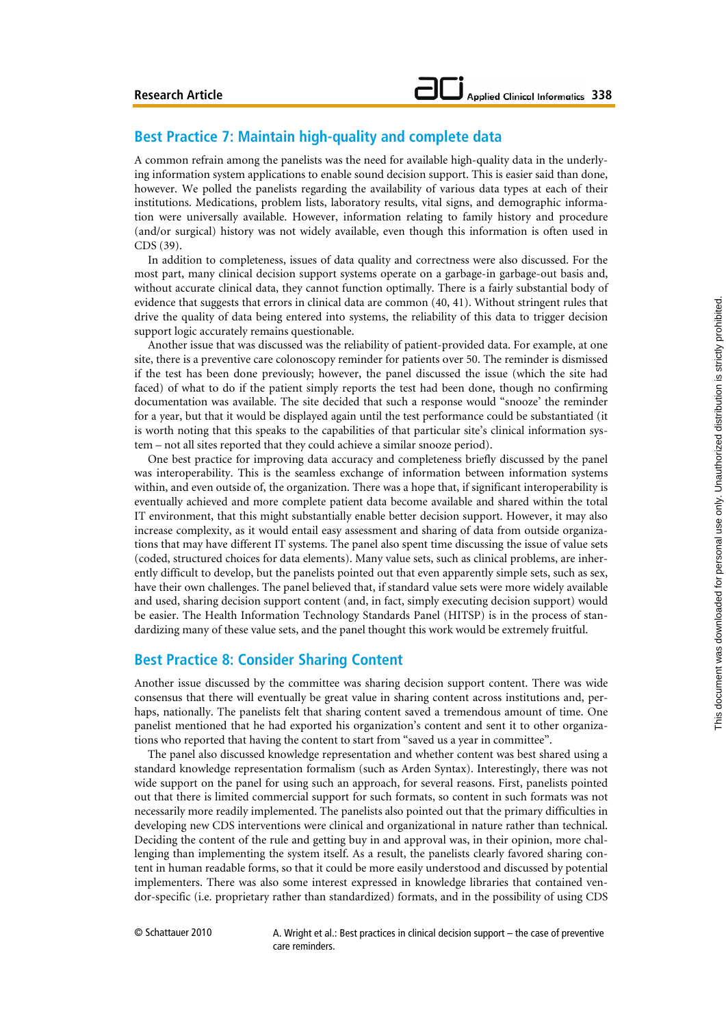## **Best Practice 7: Maintain high-quality and complete data**

A common refrain among the panelists was the need for available high-quality data in the underlying information system applications to enable sound decision support. This is easier said than done, however. We polled the panelists regarding the availability of various data types at each of their institutions. Medications, problem lists, laboratory results, vital signs, and demographic information were universally available. However, information relating to family history and procedure (and/or surgical) history was not widely available, even though this information is often used in CDS (39).

In addition to completeness, issues of data quality and correctness were also discussed. For the most part, many clinical decision support systems operate on a garbage-in garbage-out basis and, without accurate clinical data, they cannot function optimally. There is a fairly substantial body of evidence that suggests that errors in clinical data are common (40, 41). Without stringent rules that drive the quality of data being entered into systems, the reliability of this data to trigger decision support logic accurately remains questionable.

Another issue that was discussed was the reliability of patient-provided data. For example, at one site, there is a preventive care colonoscopy reminder for patients over 50. The reminder is dismissed if the test has been done previously; however, the panel discussed the issue (which the site had faced) of what to do if the patient simply reports the test had been done, though no confirming documentation was available. The site decided that such a response would "snooze' the reminder for a year, but that it would be displayed again until the test performance could be substantiated (it is worth noting that this speaks to the capabilities of that particular site's clinical information system – not all sites reported that they could achieve a similar snooze period).

One best practice for improving data accuracy and completeness briefly discussed by the panel was interoperability. This is the seamless exchange of information between information systems within, and even outside of, the organization. There was a hope that, if significant interoperability is eventually achieved and more complete patient data become available and shared within the total IT environment, that this might substantially enable better decision support. However, it may also increase complexity, as it would entail easy assessment and sharing of data from outside organizations that may have different IT systems. The panel also spent time discussing the issue of value sets (coded, structured choices for data elements). Many value sets, such as clinical problems, are inherently difficult to develop, but the panelists pointed out that even apparently simple sets, such as sex, have their own challenges. The panel believed that, if standard value sets were more widely available and used, sharing decision support content (and, in fact, simply executing decision support) would be easier. The Health Information Technology Standards Panel (HITSP) is in the process of standardizing many of these value sets, and the panel thought this work would be extremely fruitful.

## **Best Practice 8: Consider Sharing Content**

Another issue discussed by the committee was sharing decision support content. There was wide consensus that there will eventually be great value in sharing content across institutions and, perhaps, nationally. The panelists felt that sharing content saved a tremendous amount of time. One panelist mentioned that he had exported his organization's content and sent it to other organizations who reported that having the content to start from "saved us a year in committee".

The panel also discussed knowledge representation and whether content was best shared using a standard knowledge representation formalism (such as Arden Syntax). Interestingly, there was not wide support on the panel for using such an approach, for several reasons. First, panelists pointed out that there is limited commercial support for such formats, so content in such formats was not necessarily more readily implemented. The panelists also pointed out that the primary difficulties in developing new CDS interventions were clinical and organizational in nature rather than technical. Deciding the content of the rule and getting buy in and approval was, in their opinion, more challenging than implementing the system itself. As a result, the panelists clearly favored sharing content in human readable forms, so that it could be more easily understood and discussed by potential implementers. There was also some interest expressed in knowledge libraries that contained vendor-specific (i.e. proprietary rather than standardized) formats, and in the possibility of using CDS

© Schattauer 2010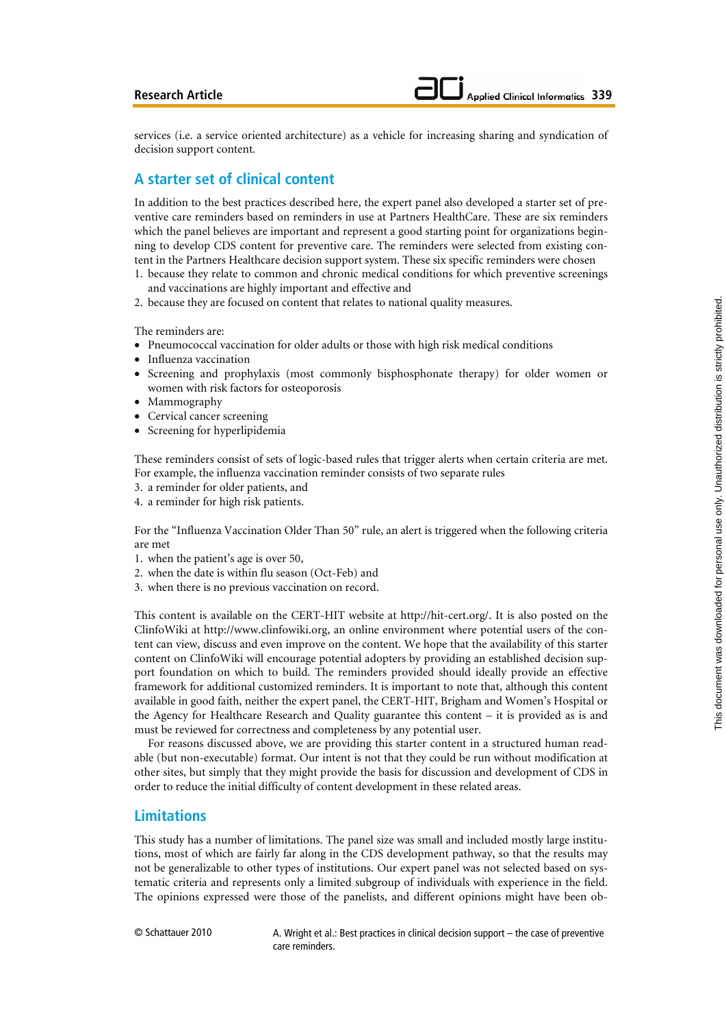services (i.e. a service oriented architecture) as a vehicle for increasing sharing and syndication of decision support content.

# **A starter set of clinical content**

In addition to the best practices described here, the expert panel also developed a starter set of preventive care reminders based on reminders in use at Partners HealthCare. These are six reminders which the panel believes are important and represent a good starting point for organizations beginning to develop CDS content for preventive care. The reminders were selected from existing content in the Partners Healthcare decision support system. These six specific reminders were chosen

- 1. because they relate to common and chronic medical conditions for which preventive screenings and vaccinations are highly important and effective and
- 2. because they are focused on content that relates to national quality measures.

The reminders are:

- Pneumococcal vaccination for older adults or those with high risk medical conditions
- Influenza vaccination
- Screening and prophylaxis (most commonly bisphosphonate therapy) for older women or women with risk factors for osteoporosis
- Mammography
- Cervical cancer screening
- Screening for hyperlipidemia

These reminders consist of sets of logic-based rules that trigger alerts when certain criteria are met. For example, the influenza vaccination reminder consists of two separate rules

- 3. a reminder for older patients, and
- 4. a reminder for high risk patients.

For the "Influenza Vaccination Older Than 50" rule, an alert is triggered when the following criteria are met

- 1. when the patient's age is over 50,
- 2. when the date is within flu season (Oct-Feb) and
- 3. when there is no previous vaccination on record.

This content is available on the CERT-HIT website at http://hit-cert.org/. It is also posted on the ClinfoWiki at http://www.clinfowiki.org, an online environment where potential users of the content can view, discuss and even improve on the content. We hope that the availability of this starter content on ClinfoWiki will encourage potential adopters by providing an established decision support foundation on which to build. The reminders provided should ideally provide an effective framework for additional customized reminders. It is important to note that, although this content available in good faith, neither the expert panel, the CERT-HIT, Brigham and Women's Hospital or the Agency for Healthcare Research and Quality guarantee this content – it is provided as is and must be reviewed for correctness and completeness by any potential user.

For reasons discussed above, we are providing this starter content in a structured human readable (but non-executable) format. Our intent is not that they could be run without modification at other sites, but simply that they might provide the basis for discussion and development of CDS in order to reduce the initial difficulty of content development in these related areas.

## **Limitations**

This study has a number of limitations. The panel size was small and included mostly large institutions, most of which are fairly far along in the CDS development pathway, so that the results may not be generalizable to other types of institutions. Our expert panel was not selected based on systematic criteria and represents only a limited subgroup of individuals with experience in the field. The opinions expressed were those of the panelists, and different opinions might have been ob-

© Schattauer 2010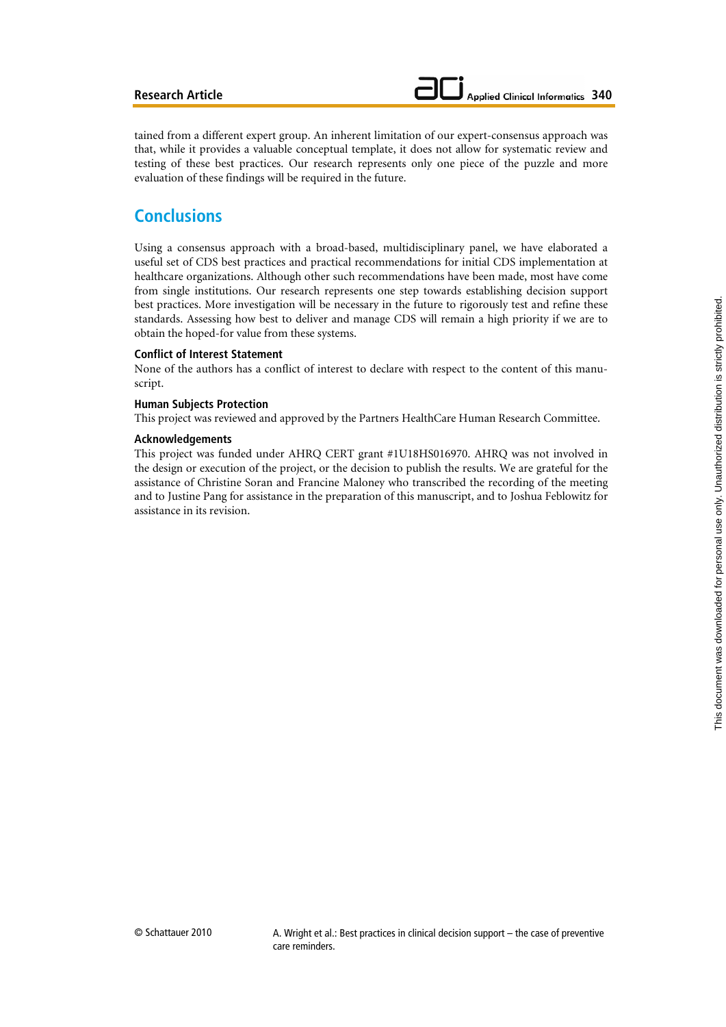tained from a different expert group. An inherent limitation of our expert-consensus approach was that, while it provides a valuable conceptual template, it does not allow for systematic review and testing of these best practices. Our research represents only one piece of the puzzle and more evaluation of these findings will be required in the future.

# **Conclusions**

Using a consensus approach with a broad-based, multidisciplinary panel, we have elaborated a useful set of CDS best practices and practical recommendations for initial CDS implementation at healthcare organizations. Although other such recommendations have been made, most have come from single institutions. Our research represents one step towards establishing decision support best practices. More investigation will be necessary in the future to rigorously test and refine these standards. Assessing how best to deliver and manage CDS will remain a high priority if we are to obtain the hoped-for value from these systems.

## **Conflict of Interest Statement**

None of the authors has a conflict of interest to declare with respect to the content of this manuscript.

## **Human Subjects Protection**

This project was reviewed and approved by the Partners HealthCare Human Research Committee.

#### **Acknowledgements**

This project was funded under AHRQ CERT grant #1U18HS016970. AHRQ was not involved in the design or execution of the project, or the decision to publish the results. We are grateful for the assistance of Christine Soran and Francine Maloney who transcribed the recording of the meeting and to Justine Pang for assistance in the preparation of this manuscript, and to Joshua Feblowitz for assistance in its revision.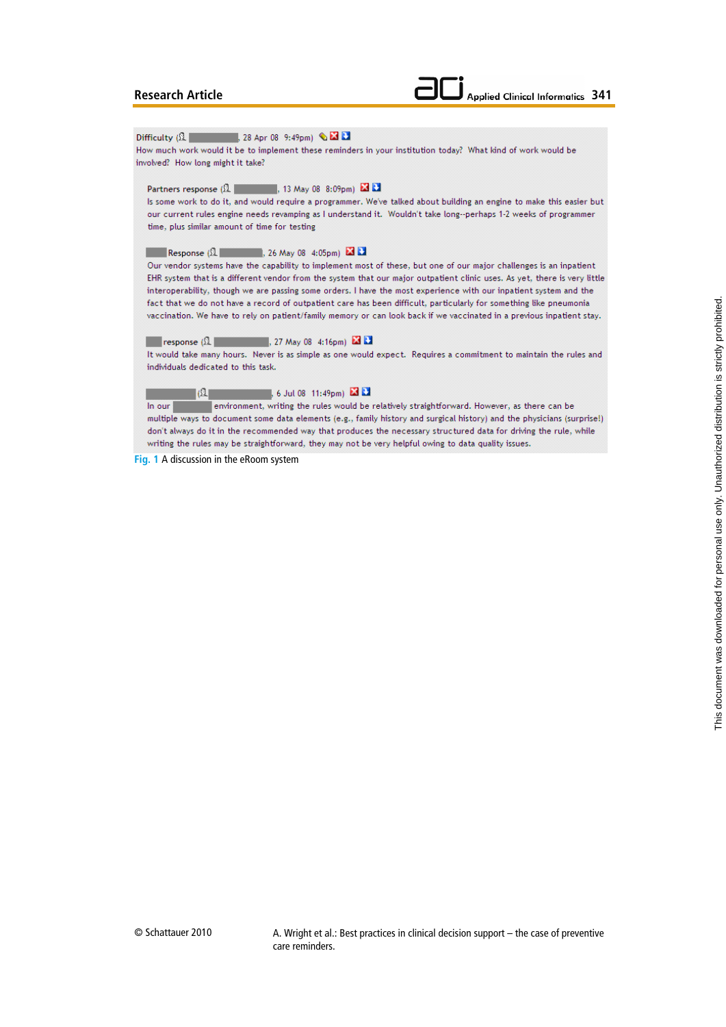

**Fig. 1** A discussion in the eRoom system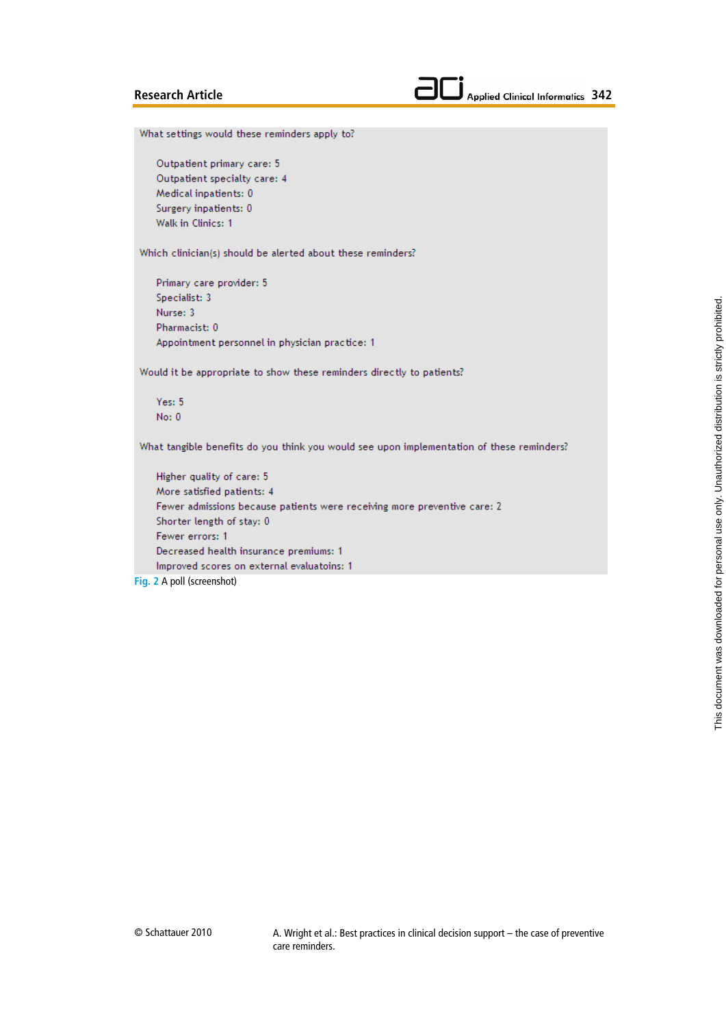What settings would these reminders apply to?

Outpatient primary care: 5 Outpatient specialty care: 4 Medical inpatients: 0 Surgery inpatients: 0 Walk in Clinics: 1

Which clinician(s) should be alerted about these reminders?

Primary care provider: 5 Specialist: 3 Nurse: 3 Pharmacist: 0 Appointment personnel in physician practice: 1

Would it be appropriate to show these reminders directly to patients?

Yes: 5  $No: 0$ 

What tangible benefits do you think you would see upon implementation of these reminders?

Higher quality of care: 5 More satisfied patients: 4 Fewer admissions because patients were receiving more preventive care: 2 Shorter length of stay: 0 Fewer errors: 1 Decreased health insurance premiums: 1 Improved scores on external evaluatoins: 1

#### **Fig. 2** A poll (screenshot)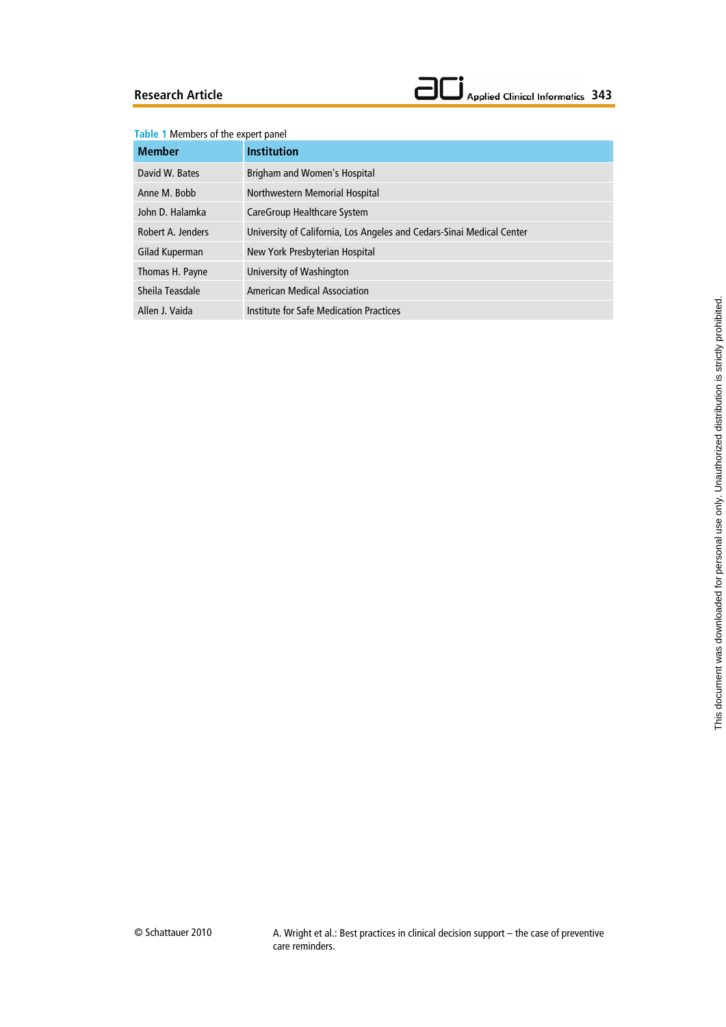## **Table 1** Members of the expert panel

| <b>Member</b>     | <b>Institution</b>                                                    |
|-------------------|-----------------------------------------------------------------------|
| David W. Bates    | Brigham and Women's Hospital                                          |
| Anne M. Bobb      | Northwestern Memorial Hospital                                        |
| John D. Halamka   | CareGroup Healthcare System                                           |
| Robert A. Jenders | University of California, Los Angeles and Cedars-Sinai Medical Center |
| Gilad Kuperman    | New York Presbyterian Hospital                                        |
| Thomas H. Payne   | University of Washington                                              |
| Sheila Teasdale   | <b>American Medical Association</b>                                   |
| Allen J. Vaida    | Institute for Safe Medication Practices                               |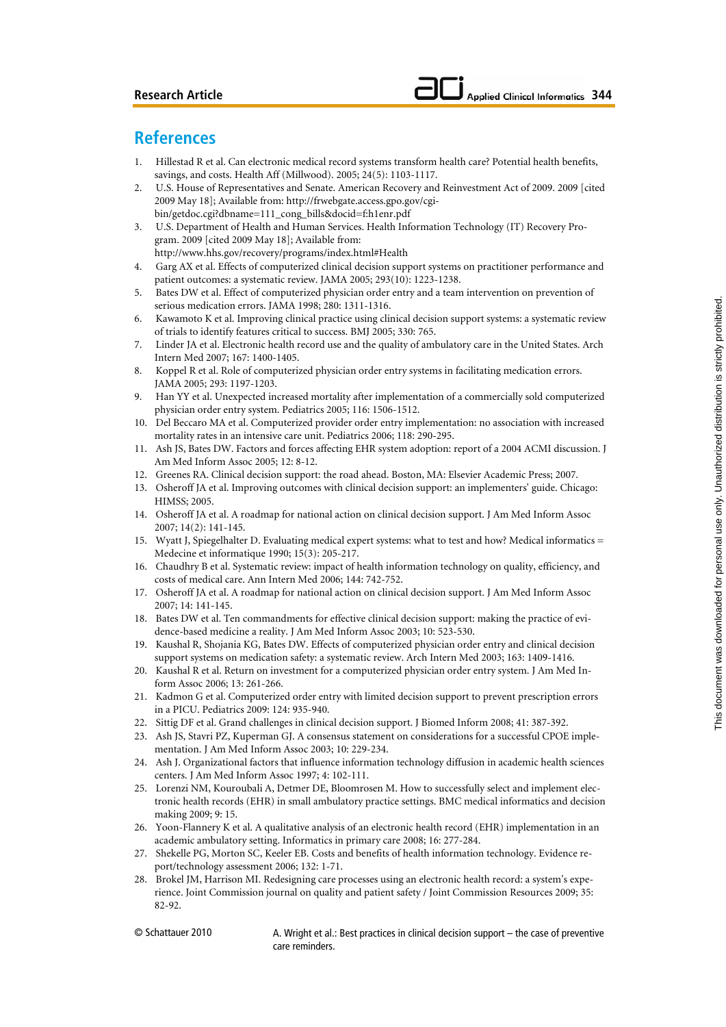# **References**

- 1. Hillestad R et al. Can electronic medical record systems transform health care? Potential health benefits, savings, and costs. Health Aff (Millwood). 2005; 24(5): 1103-1117.
- 2. U.S. House of Representatives and Senate. American Recovery and Reinvestment Act of 2009. 2009 [cited 2009 May 18]; Available from: http://frwebgate.access.gpo.gov/cgibin/getdoc.cgi?dbname=111\_cong\_bills&docid=f:h1enr.pdf
- 3. U.S. Department of Health and Human Services. Health Information Technology (IT) Recovery Program. 2009 [cited 2009 May 18]; Available from:
- http://www.hhs.gov/recovery/programs/index.html#Health Garg AX et al. Effects of computerized clinical decision support systems on practitioner performance and patient outcomes: a systematic review. JAMA 2005; 293(10): 1223-1238.
- 5. Bates DW et al. Effect of computerized physician order entry and a team intervention on prevention of serious medication errors. JAMA 1998; 280: 1311-1316.
- 6. Kawamoto K et al. Improving clinical practice using clinical decision support systems: a systematic review of trials to identify features critical to success. BMJ 2005; 330: 765.
- 7. Linder JA et al. Electronic health record use and the quality of ambulatory care in the United States. Arch Intern Med 2007; 167: 1400-1405.
- 8. Koppel R et al. Role of computerized physician order entry systems in facilitating medication errors. JAMA 2005; 293: 1197-1203.
- 9. Han YY et al. Unexpected increased mortality after implementation of a commercially sold computerized physician order entry system. Pediatrics 2005; 116: 1506-1512.
- 10. Del Beccaro MA et al. Computerized provider order entry implementation: no association with increased mortality rates in an intensive care unit. Pediatrics 2006; 118: 290-295.
- 11. Ash JS, Bates DW. Factors and forces affecting EHR system adoption: report of a 2004 ACMI discussion. J Am Med Inform Assoc 2005; 12: 8-12.
- 12. Greenes RA. Clinical decision support: the road ahead. Boston, MA: Elsevier Academic Press; 2007.
- 13. Osheroff JA et al. Improving outcomes with clinical decision support: an implementers' guide. Chicago: HIMSS; 2005.
- 14. Osheroff JA et al. A roadmap for national action on clinical decision support. J Am Med Inform Assoc 2007; 14(2): 141-145.
- 15. Wyatt J, Spiegelhalter D. Evaluating medical expert systems: what to test and how? Medical informatics = Medecine et informatique 1990; 15(3): 205-217.
- 16. Chaudhry B et al. Systematic review: impact of health information technology on quality, efficiency, and costs of medical care. Ann Intern Med 2006; 144: 742-752.
- 17. Osheroff JA et al. A roadmap for national action on clinical decision support. J Am Med Inform Assoc 2007; 14: 141-145.
- 18. Bates DW et al. Ten commandments for effective clinical decision support: making the practice of evidence-based medicine a reality. J Am Med Inform Assoc 2003; 10: 523-530.
- 19. Kaushal R, Shojania KG, Bates DW. Effects of computerized physician order entry and clinical decision support systems on medication safety: a systematic review. Arch Intern Med 2003; 163: 1409-1416.
- 20. Kaushal R et al. Return on investment for a computerized physician order entry system. J Am Med Inform Assoc 2006; 13: 261-266.
- 21. Kadmon G et al. Computerized order entry with limited decision support to prevent prescription errors in a PICU. Pediatrics 2009: 124: 935-940.
- 22. Sittig DF et al. Grand challenges in clinical decision support. J Biomed Inform 2008; 41: 387-392.
- 23. Ash JS, Stavri PZ, Kuperman GJ. A consensus statement on considerations for a successful CPOE implementation. J Am Med Inform Assoc 2003; 10: 229-234.
- 24. Ash J. Organizational factors that influence information technology diffusion in academic health sciences centers. J Am Med Inform Assoc 1997; 4: 102-111.
- 25. Lorenzi NM, Kouroubali A, Detmer DE, Bloomrosen M. How to successfully select and implement electronic health records (EHR) in small ambulatory practice settings. BMC medical informatics and decision making 2009; 9: 15.
- 26. Yoon-Flannery K et al. A qualitative analysis of an electronic health record (EHR) implementation in an academic ambulatory setting. Informatics in primary care 2008; 16: 277-284.
- 27. Shekelle PG, Morton SC, Keeler EB. Costs and benefits of health information technology. Evidence report/technology assessment 2006; 132: 1-71.
- 28. Brokel JM, Harrison MI. Redesigning care processes using an electronic health record: a system's experience. Joint Commission journal on quality and patient safety / Joint Commission Resources 2009; 35: 82-92.